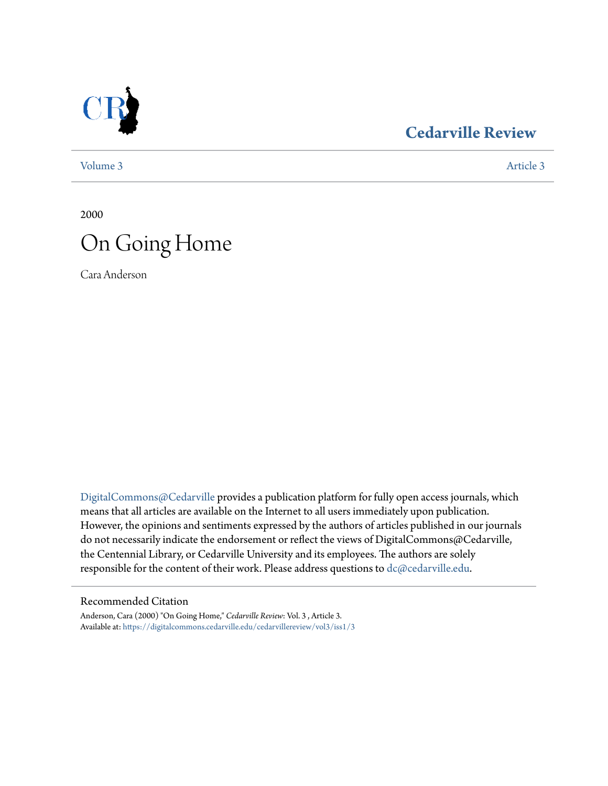

### **[Cedarville Review](https://digitalcommons.cedarville.edu/cedarvillereview?utm_source=digitalcommons.cedarville.edu%2Fcedarvillereview%2Fvol3%2Fiss1%2F3&utm_medium=PDF&utm_campaign=PDFCoverPages)**

[Volume 3](https://digitalcommons.cedarville.edu/cedarvillereview/vol3?utm_source=digitalcommons.cedarville.edu%2Fcedarvillereview%2Fvol3%2Fiss1%2F3&utm_medium=PDF&utm_campaign=PDFCoverPages) [Article 3](https://digitalcommons.cedarville.edu/cedarvillereview/vol3/iss1/3?utm_source=digitalcommons.cedarville.edu%2Fcedarvillereview%2Fvol3%2Fiss1%2F3&utm_medium=PDF&utm_campaign=PDFCoverPages)

2000

# On Going Home

Cara Anderson

[DigitalCommons@Cedarville](http://digitalcommons.cedarville.edu) provides a publication platform for fully open access journals, which means that all articles are available on the Internet to all users immediately upon publication. However, the opinions and sentiments expressed by the authors of articles published in our journals do not necessarily indicate the endorsement or reflect the views of DigitalCommons@Cedarville, the Centennial Library, or Cedarville University and its employees. The authors are solely responsible for the content of their work. Please address questions to [dc@cedarville.edu](mailto:dc@cedarville.edu).

#### Recommended Citation

Anderson, Cara (2000) "On Going Home," *Cedarville Review*: Vol. 3 , Article 3. Available at: [https://digitalcommons.cedarville.edu/cedarvillereview/vol3/iss1/3](https://digitalcommons.cedarville.edu/cedarvillereview/vol3/iss1/3?utm_source=digitalcommons.cedarville.edu%2Fcedarvillereview%2Fvol3%2Fiss1%2F3&utm_medium=PDF&utm_campaign=PDFCoverPages)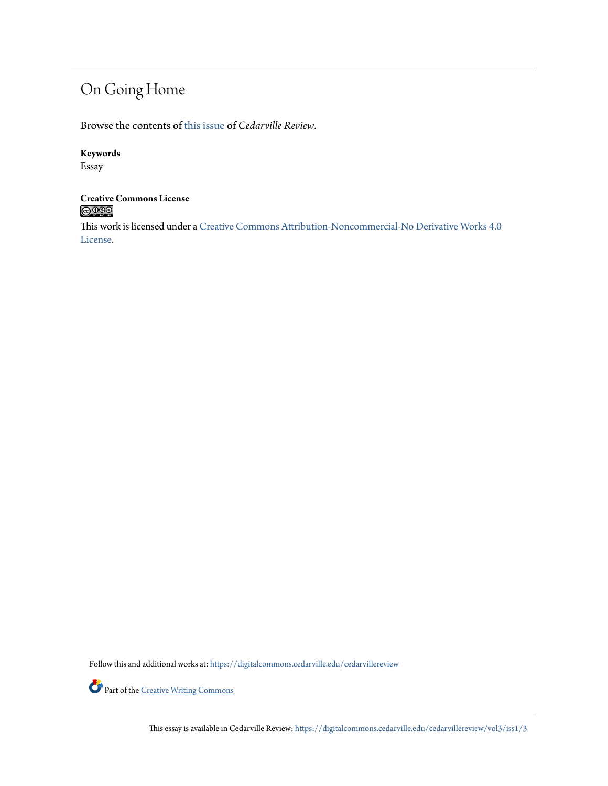## On Going Home

Browse the contents of [this issue](https://digitalcommons.cedarville.edu/cedarvillereview/vol3/iss1) of *Cedarville Review*.

#### **Keywords**

Essay

## **Creative Commons License**<br> **C** 000

This work is licensed under a [Creative Commons Attribution-Noncommercial-No Derivative Works 4.0](http://creativecommons.org/licenses/by-nc-nd/4.0/) [License.](http://creativecommons.org/licenses/by-nc-nd/4.0/)

Follow this and additional works at: [https://digitalcommons.cedarville.edu/cedarvillereview](https://digitalcommons.cedarville.edu/cedarvillereview?utm_source=digitalcommons.cedarville.edu%2Fcedarvillereview%2Fvol3%2Fiss1%2F3&utm_medium=PDF&utm_campaign=PDFCoverPages)



Part of the <u>[Creative Writing Commons](http://network.bepress.com/hgg/discipline/574?utm_source=digitalcommons.cedarville.edu%2Fcedarvillereview%2Fvol3%2Fiss1%2F3&utm_medium=PDF&utm_campaign=PDFCoverPages)</u>

This essay is available in Cedarville Review: [https://digitalcommons.cedarville.edu/cedarvillereview/vol3/iss1/3](https://digitalcommons.cedarville.edu/cedarvillereview/vol3/iss1/3?utm_source=digitalcommons.cedarville.edu%2Fcedarvillereview%2Fvol3%2Fiss1%2F3&utm_medium=PDF&utm_campaign=PDFCoverPages)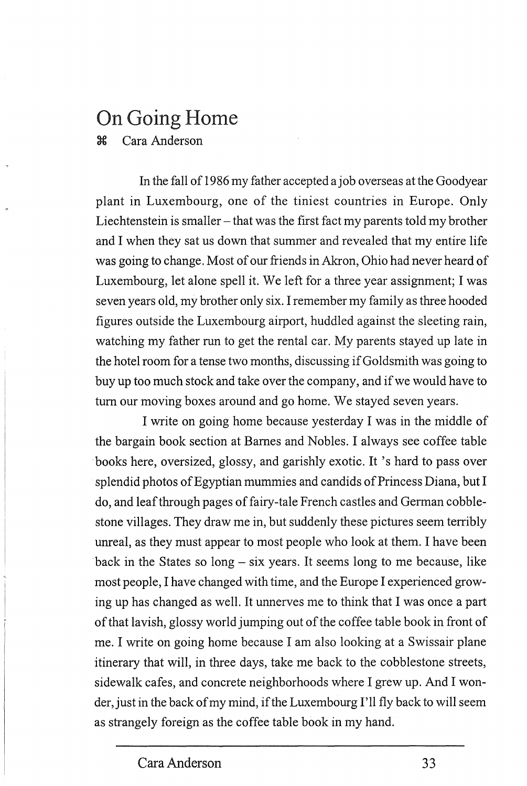### On Going Home

3:€ Cara Anderson

In the fall of 1986 my father accepted a job overseas at the Goodyear plant in Luxembourg, one of the tiniest countries in Europe. Only Liechtenstein is smaller  $-$  that was the first fact my parents told my brother and I when they sat us down that summer and revealed that my entire life was going to change. Most of our friends in Akron, Ohio had never heard of Luxembourg, let alone spell it. We left for a three year assignment; I was seven years old, my brother only six. I remember my family as three hooded figures outside the Luxembourg airport, huddled against the sleeting rain, watching my father run to get the rental car. My parents stayed up late in the hotel room for a tense two months, discussing if Goldsmith was going to buy up too much stock and take over the company, and if we would have to tum our moving boxes around and go home. We stayed seven years.

I write on going home because yesterday I was in the middle of the bargain book section at Barnes and Nobles. I always see coffee table books here, oversized, glossy, and garishly exotic. It 's hard to pass over splendid photos of Egyptian mummies and candids of Princess Diana, but I do, and leaf through pages of fairy-tale French castles and German cobblestone villages. They draw me in, but suddenly these pictures seem terribly unreal, as they must appear to most people who look at them. I have been back in the States so  $long - six \, years$ . It seems long to me because, like most people, I have changed with time, and the Europe I experienced growing up has changed as well. It unnerves me to think that I was once a part of that lavish, glossy world jumping out of the coffee table book in front of me. I write on going home because I am also looking at a Swissair plane itinerary that will, in three days, take me back to the cobblestone streets, sidewalk cafes, and concrete neighborhoods where I grew up. And I wonder, just in the back of my mind, if the Luxembourg I'll fly back to will seem as strangely foreign as the coffee table book in my hand.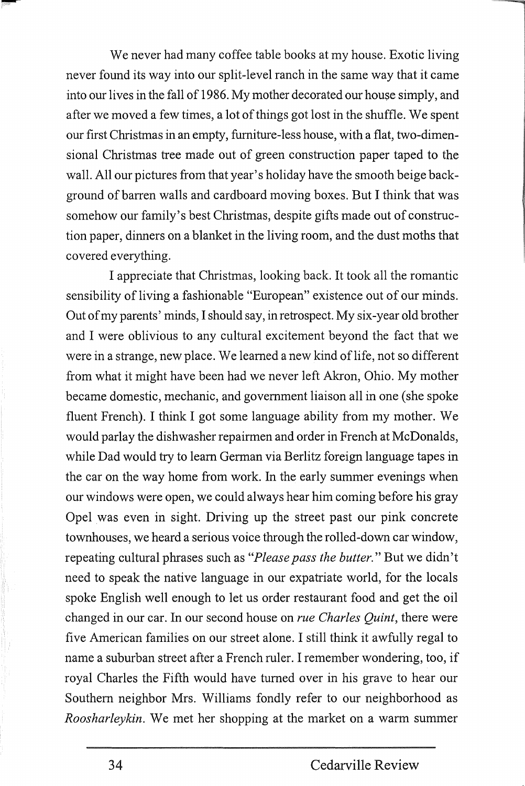We never had many coffee table books at my house. Exotic living never found its way into our split-level ranch in the same way that it came into our lives in the fall of 1986. My mother decorated our house simply, and after we moved a few times, a lot of things got lost in the shuffle. We spent our first Christmas in an empty, furniture-less house, with a flat, two-dimensional Christmas tree made out of green construction paper taped to the wall. All our pictures from that year's holiday have the smooth beige background of barren walls and cardboard moving boxes. But I think that was somehow our family's best Christmas, despite gifts made out of construction paper, dinners on a blanket in the living room, and the dust moths that covered everything.

I appreciate that Christmas, looking back. It took all the romantic sensibility of living a fashionable "European" existence out of our minds. Out of my parents' minds, I should say, in retrospect. My six-year old brother and I were oblivious to any cultural excitement beyond the fact that we were in a strange, new place. We learned a new kind of life, not so different from what it might have been had we never left Akron, Ohio. My mother became domestic, mechanic, and government liaison all in one (she spoke fluent French). I think I got some language ability from my mother. We would parlay the dishwasher repairmen and order in French at McDonalds, while Dad would try to learn German via Berlitz foreign language tapes in the car on the way home from work. In the early summer evenings when our windows were open, we could always hear him coming before his gray Opel was even in sight. Driving up the street past our pink concrete townhouses, we heard a serious voice through the rolled-down car window, repeating cultural phrases such as *"Please pass the butter."* But we didn't need to speak the native language in our expatriate world, for the locals spoke English well enough to let us order restaurant food and get the **oil**  changed in our car. In our second house on *rue Charles Quint,* there were five American families on our street alone. I still think it awfully regal to name a suburban street after a French ruler. I remember wondering, too, if royal Charles the Fifth would have turned over in his grave to hear our Southern neighbor Mrs. Williams fondly refer to our neighborhood as *Roosharleykin.* We met her shopping at the market on a warm summer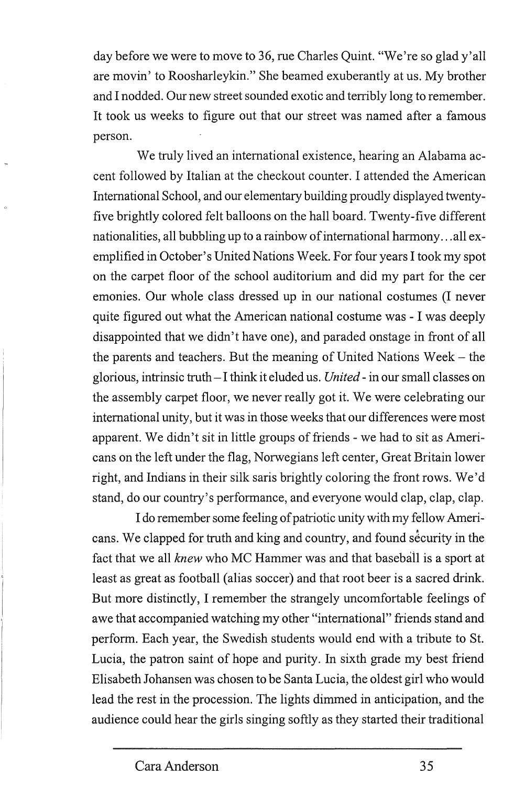day before we were to move to 36, rue Charles Quint. "We're so glad y'all are movin' to Roosharleykin." She beamed exuberantly at us. My brother and I nodded. Our new street sounded exotic and terribly long to remember. It took us weeks to figure out that our street was named after a famous person.

We truly lived an international existence, hearing an Alabama accent followed by Italian at the checkout counter. I attended the American International School, and our elementary building proudly displayed twentyfive brightly colored felt balloons on the hall board. Twenty-five different nationalities, all bubbling up to a rainbow of international harmony ... all exemplified in October's United Nations Week. For four years I took my spot on the carpet floor of the school auditorium and did my part for the cer emonies. Our whole class dressed up in our national costumes (I never quite figured out what the American national costume was - I was deeply disappointed that we didn't have one), and paraded onstage in front of all the parents and teachers. But the meaning of United Nations Week- the glorious, intrinsic truth - I think it eluded us. *United* - in our small classes on the assembly carpet floor, we never really got it. We were celebrating our international unity, but it was in those weeks that our differences were most apparent. We didn't sit in little groups of friends - we had to sit as Americans on the left under the flag, Norwegians left center, Great Britain lower right, and Indians in their silk saris brightly coloring the front rows. We'd stand, do our country's performance, and everyone would clap, clap, clap.

I do remember some feeling of patriotic unity with my fellow Americans. We clapped for truth and king and country, and found security in the fact that we all *knew* who MC Hammer was and that baseball is a sport at least as great as football (alias soccer) and that root beer is a sacred drink. But more distinctly, I remember the strangely uncomfortable feelings of awe that accompanied watching my other "international" friends stand and perform. Each year, the Swedish students would end with a tribute to St. Lucia, the patron saint of hope and purity. In sixth grade my best friend Elisabeth Johansen was chosen to be Santa Lucia, the oldest girl who would lead the rest in the procession. The lights dimmed in anticipation, and the audience could hear the girls singing softly as they started their traditional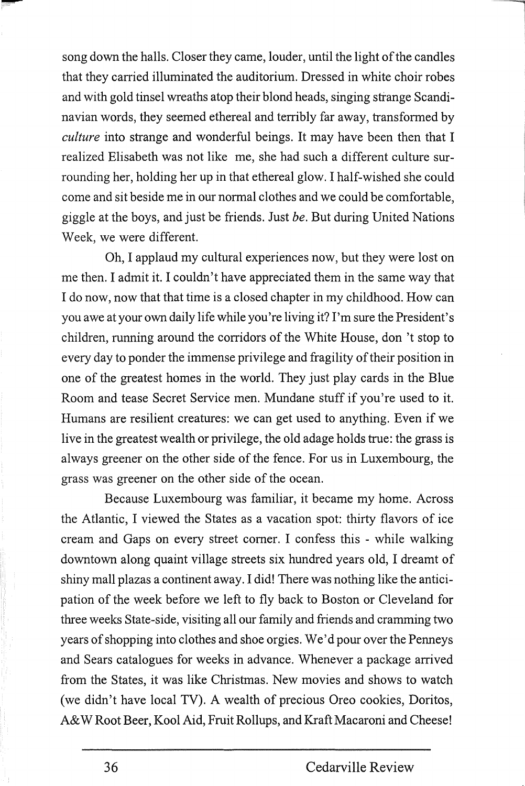song down the halls. Closer they came, louder, until the light of the candles that they carried illuminated the auditorium. Dressed in white choir robes and with gold tinsel wreaths atop their blond heads, singing strange Scandinavian words, they seemed ethereal and terribly far away, transformed by *culture* into strange and wonderful beings. It may have been then that I realized Elisabeth was not like me, she had such a different culture surrounding her, holding her up in that ethereal glow. I half-wished she could come and sit beside me in our normal clothes and we could be comfortable, giggle at the boys, and just be friends. Just *be.* But during United Nations Week, we were different.

Oh, I applaud my cultural experiences now, but they were lost on me then. I admit it. I couldn't have appreciated them in the same way that I do now, now that that time is a closed chapter in my childhood. How can you awe at your own daily life while you 're living it? I'm sure the President's children, running around the corridors of the White House, don 't stop to every day to ponder the immense privilege and fragility of their position in one of the greatest homes in the world. They just play cards in the Blue Room and tease Secret Service men. Mundane stuff if you're used to it. Humans are resilient creatures: we can get used to anything. Even if we live in the greatest wealth or privilege, the old adage holds true: the grass is always greener on the other side of the fence. For us in Luxembourg, the grass was greener on the other side of the ocean.

Because Luxembourg was familiar, it became my home. Across the Atlantic, I viewed the States as a vacation spot: thirty flavors of ice cream and Gaps on every street comer. I confess this - while walking downtown along quaint village streets six hundred years old, I dreamt of shiny mall plazas a continent away. I did! There was nothing like the anticipation of the week before we left to fly back to Boston or Cleveland for three weeks State-side, visiting all our family and friends and cramming two years of shopping into clothes and shoe orgies. We'd pour over the Penneys and Sears catalogues for weeks in advance. Whenever a package arrived from the States, it was like Christmas. New movies and shows to watch (we didn't have local TV). A wealth of precious Oreo cookies, Doritos, A&W Root Beer, Kool Aid, Fruit Rollups, and Kraft Macaroni and Cheese!

--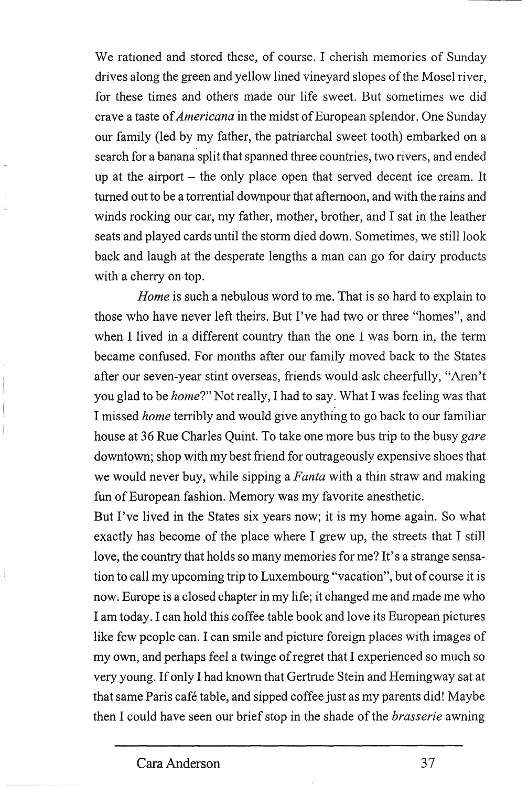We rationed and stored these, of course. I cherish memories of Sunday drives along the green and yellow lined vineyard slopes of the Mosel river, for these times and others made our life sweet. But sometimes we did crave a taste of *Americana* in the midst of European splendor. One Sunday our family (led by my father, the patriarchal sweet tooth) embarked on a search for a banana split that spanned three countries, two rivers, and ended up at the airport  $-$  the only place open that served decent ice cream. It turned out to be a torrential downpour that afternoon, and with the rains and winds rocking our car, my father, mother, brother, and I sat in the leather seats and played cards until the storm died down. Sometimes, we still look back and laugh at the desperate lengths a man can go for dairy products with a cherry on top.

*Home* is such a nebulous word to me. That is so hard to explain to those who have never left theirs. But I've had two or three "homes", and when I lived in a different country than the one I was born in, the term became confused. For months after our family moved back to the States after our seven-year stint overseas, friends would· ask cheerfully, "Aren't you glad to be *home?"* Not really, I had to say. What I was feeling was that I missed *home* terribly and would give anything to go back to our familiar house at 36 Rue Charles Quint. To take one more bus trip to the busy *gare*  downtown; shop with my best friend for outrageously expensive shoes that we would never buy, while sipping a *Fanta* with a thin straw and making fun of European fashion. Memory was my favorite anesthetic.

But I've lived in the States six years now; it is my home again. So what exactly has become of the place where I grew up, the streets that I still love, the country that holds so many memories for me? It's a strange sensation to call my upcoming trip to Luxembourg "vacation", but of course it is now. Europe is a closed chapter in my life; it changed me and made me who I am today. I can hold this coffee table book and love its European pictures like few people can. I can smile and picture foreign places with images of my own, and perhaps feel a twinge of regret that I experienced so much so very young. If only I had known that Gertrude Stein and Hemingway sat at that same Paris cafe table, and sipped coffee just as my parents did! Maybe then I could have seen our brief stop in the shade of the *brasserie* awning